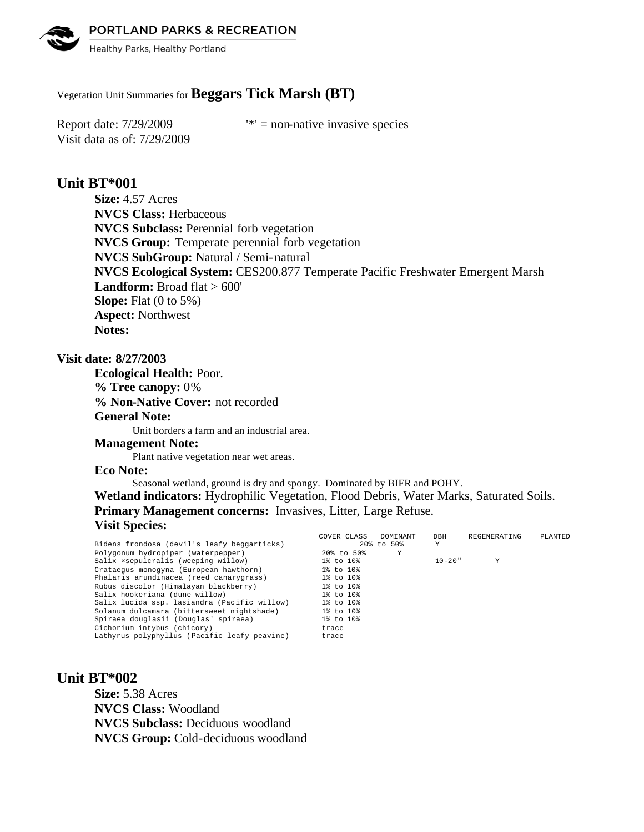PORTLAND PARKS & RECREATION



Healthy Parks, Healthy Portland

# Vegetation Unit Summaries for **Beggars Tick Marsh (BT)**

Visit data as of: 7/29/2009

Report date:  $7/29/2009$  '\*' = non-native invasive species

# **Unit BT\*001**

**Size:** 4.57 Acres **NVCS Class:** Herbaceous **NVCS Subclass:** Perennial forb vegetation **NVCS Group:** Temperate perennial forb vegetation **NVCS SubGroup:** Natural / Semi-natural **NVCS Ecological System:** CES200.877 Temperate Pacific Freshwater Emergent Marsh **Landform:** Broad flat > 600' **Slope:** Flat (0 to 5%) **Aspect:** Northwest **Notes:** 

## **Visit date: 8/27/2003**

**Ecological Health:** Poor. **% Tree canopy:** 0% **% Non-Native Cover:** not recorded **General Note:** Unit borders a farm and an industrial area. **Management Note:** Plant native vegetation near wet areas.

### **Eco Note:**

Seasonal wetland, ground is dry and spongy. Dominated by BIFR and POHY. **Wetland indicators:** Hydrophilic Vegetation, Flood Debris, Water Marks, Saturated Soils. **Primary Management concerns:** Invasives, Litter, Large Refuse. **Visit Species:**  COVER CLASS DOMINANT DBH REGENERATING PLANTED

|                                              | COVER CLASS<br><b>DOM TIANT</b> | המע         | KEGENEKAI ING | PLANIBU |
|----------------------------------------------|---------------------------------|-------------|---------------|---------|
| Bidens frondosa (devil's leafy beggarticks)  | 20% to 50%                      | Y           |               |         |
| Polygonum hydropiper (waterpepper)           | 20% to 50%                      | Υ           |               |         |
| Salix xsepulcralis (weeping willow)          | 1% to 10%                       | $10 - 20$ " | Υ             |         |
| Crataequs monoqyna (European hawthorn)       | 1% to 10%                       |             |               |         |
| Phalaris arundinacea (reed canarygrass)      | 1% to 10%                       |             |               |         |
| Rubus discolor (Himalayan blackberry)        | 1% to 10%                       |             |               |         |
| Salix hookeriana (dune willow)               | 1% to 10%                       |             |               |         |
| Salix lucida ssp. lasiandra (Pacific willow) | 1% to 10%                       |             |               |         |
| Solanum dulcamara (bittersweet nightshade)   | 1% to 10%                       |             |               |         |
| Spiraea douglasii (Douglas' spiraea)         | 1% to 10%                       |             |               |         |
| Cichorium intybus (chicory)                  | trace                           |             |               |         |
| Lathyrus polyphyllus (Pacific leafy peavine) | trace                           |             |               |         |
|                                              |                                 |             |               |         |

# **Unit BT\*002**

**Size:** 5.38 Acres **NVCS Class:** Woodland **NVCS Subclass:** Deciduous woodland **NVCS Group:** Cold-deciduous woodland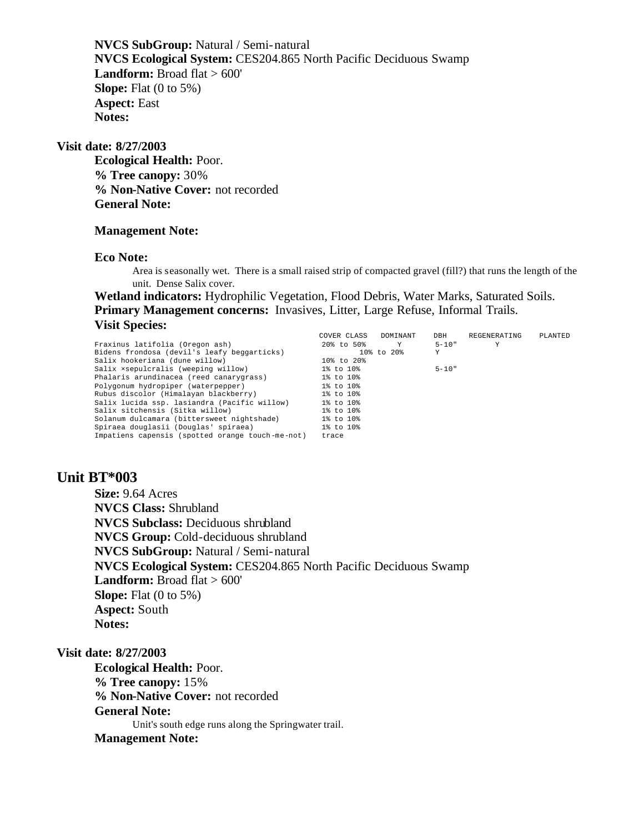**NVCS SubGroup:** Natural / Semi-natural **NVCS Ecological System:** CES204.865 North Pacific Deciduous Swamp Landform: Broad flat > 600' **Slope:** Flat (0 to 5%) **Aspect:** East **Notes:** 

### **Visit date: 8/27/2003**

**Ecological Health:** Poor. **% Tree canopy:** 30% **% Non-Native Cover:** not recorded **General Note:**

### **Management Note:**

#### **Eco Note:**

Area is seasonally wet. There is a small raised strip of compacted gravel (fill?) that runs the length of the unit. Dense Salix cover.

**Wetland indicators:** Hydrophilic Vegetation, Flood Debris, Water Marks, Saturated Soils. **Primary Management concerns:** Invasives, Litter, Large Refuse, Informal Trails. **Visit Species:** 

|                                                  | COVER CLASS | DOMINANT     | DBH       | REGENERATING | PLANTED |
|--------------------------------------------------|-------------|--------------|-----------|--------------|---------|
| Fraxinus latifolia (Oregon ash)                  | 20% to 50%  | $\mathbf{Y}$ | $5 - 10"$ |              |         |
| Bidens frondosa (devil's leafy beggarticks)      |             | 10% to 20%   | Y         |              |         |
| Salix hookeriana (dune willow)                   | 10% to 20%  |              |           |              |         |
| Salix xsepulcralis (weeping willow)              | 1% to 10%   |              | $5 - 10"$ |              |         |
| Phalaris arundinacea (reed canarygrass)          | 1% to 10%   |              |           |              |         |
| Polygonum hydropiper (waterpepper)               | 1% to 10%   |              |           |              |         |
| Rubus discolor (Himalayan blackberry)            | 1% to 10%   |              |           |              |         |
| Salix lucida ssp. lasiandra (Pacific willow)     | 1% to 10%   |              |           |              |         |
| Salix sitchensis (Sitka willow)                  | 1% to 10%   |              |           |              |         |
| Solanum dulcamara (bittersweet nightshade)       | 1% to 10%   |              |           |              |         |
| Spiraea douglasii (Douglas' spiraea)             | 1% to 10%   |              |           |              |         |
| Impatiens capensis (spotted orange touch-me-not) | trace       |              |           |              |         |

# **Unit BT\*003**

**Size:** 9.64 Acres **NVCS Class:** Shrubland **NVCS Subclass:** Deciduous shrubland **NVCS Group:** Cold-deciduous shrubland **NVCS SubGroup:** Natural / Semi-natural **NVCS Ecological System:** CES204.865 North Pacific Deciduous Swamp Landform: Broad flat > 600' **Slope:** Flat (0 to 5%) **Aspect:** South **Notes:** 

### **Visit date: 8/27/2003**

**Ecological Health:** Poor. **% Tree canopy:** 15% **% Non-Native Cover:** not recorded **General Note:** Unit's south edge runs along the Springwater trail. **Management Note:**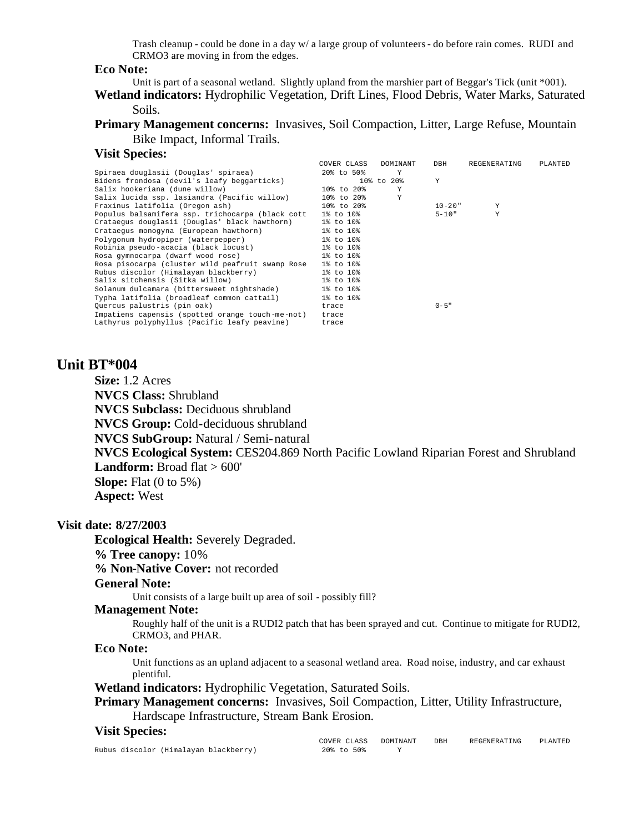Trash cleanup - could be done in a day w/ a large group of volunteers - do before rain comes. RUDI and CRMO3 are moving in from the edges.

#### **Eco Note:**

Unit is part of a seasonal wetland. Slightly upland from the marshier part of Beggar's Tick (unit \*001).

**Wetland indicators:** Hydrophilic Vegetation, Drift Lines, Flood Debris, Water Marks, Saturated Soils.

**Primary Management concerns:** Invasives, Soil Compaction, Litter, Large Refuse, Mountain Bike Impact, Informal Trails.

#### **Visit Species:**

|                                                  | COVER CLASS | DOMINANT   | DBH         | REGENERATING | PLANTED |
|--------------------------------------------------|-------------|------------|-------------|--------------|---------|
| Spiraea douglasii (Douglas' spiraea)             | 20% to 50%  | Y          |             |              |         |
| Bidens frondosa (devil's leafy beggarticks)      |             | 10% to 20% | Y           |              |         |
| Salix hookeriana (dune willow)                   | 10% to 20%  | Y          |             |              |         |
| Salix lucida ssp. lasiandra (Pacific willow)     | 10% to 20%  | Y          |             |              |         |
| Fraxinus latifolia (Oregon ash)                  | 10% to 20%  |            | $10 - 20$ " | Y            |         |
| Populus balsamifera ssp. trichocarpa (black cott | 1% to 10%   |            | $5 - 10"$   | Y            |         |
| Crataegus douglasii (Douglas' black hawthorn)    | 1% to 10%   |            |             |              |         |
| Crataequs monoqyna (European hawthorn)           | 1% to 10%   |            |             |              |         |
| Polygonum hydropiper (waterpepper)               | 1% to 10%   |            |             |              |         |
| Robinia pseudo-acacia (black locust)             | 1% to 10%   |            |             |              |         |
| Rosa gymnocarpa (dwarf wood rose)                | 1% to 10%   |            |             |              |         |
| Rosa pisocarpa (cluster wild peafruit swamp Rose | 1% to 10%   |            |             |              |         |
| Rubus discolor (Himalayan blackberry)            | 1% to 10%   |            |             |              |         |
| Salix sitchensis (Sitka willow)                  | 1% to 10%   |            |             |              |         |
| Solanum dulcamara (bittersweet nightshade)       | 1% to 10%   |            |             |              |         |
| Typha latifolia (broadleaf common cattail)       | 1% to 10%   |            |             |              |         |
| Quercus palustris (pin oak)                      | trace       |            | $0 - 5$ "   |              |         |
| Impatiens capensis (spotted orange touch-me-not) | trace       |            |             |              |         |
| Lathyrus polyphyllus (Pacific leafy peavine)     | trace       |            |             |              |         |
|                                                  |             |            |             |              |         |

## **Unit BT\*004**

**Size:** 1.2 Acres

**NVCS Class:** Shrubland

**NVCS Subclass:** Deciduous shrubland

**NVCS Group:** Cold-deciduous shrubland

**NVCS SubGroup:** Natural / Semi-natural

**NVCS Ecological System:** CES204.869 North Pacific Lowland Riparian Forest and Shrubland **Landform:** Broad flat > 600'

**Slope:** Flat (0 to 5%) **Aspect:** West

#### **Visit date: 8/27/2003**

**Ecological Health:** Severely Degraded.

# **% Tree canopy:** 10%

**% Non-Native Cover:** not recorded

#### **General Note:**

Unit consists of a large built up area of soil - possibly fill?

#### **Management Note:**

Roughly half of the unit is a RUDI2 patch that has been sprayed and cut. Continue to mitigate for RUDI2, CRMO3, and PHAR.

### **Eco Note:**

Unit functions as an upland adjacent to a seasonal wetland area. Road noise, industry, and car exhaust plentiful.

**Wetland indicators:** Hydrophilic Vegetation, Saturated Soils.

**Primary Management concerns:** Invasives, Soil Compaction, Litter, Utility Infrastructure, Hardscape Infrastructure, Stream Bank Erosion.

#### **Visit Species:**

Rubus discolor (Himalayan blackberry) 20% to 50% Y